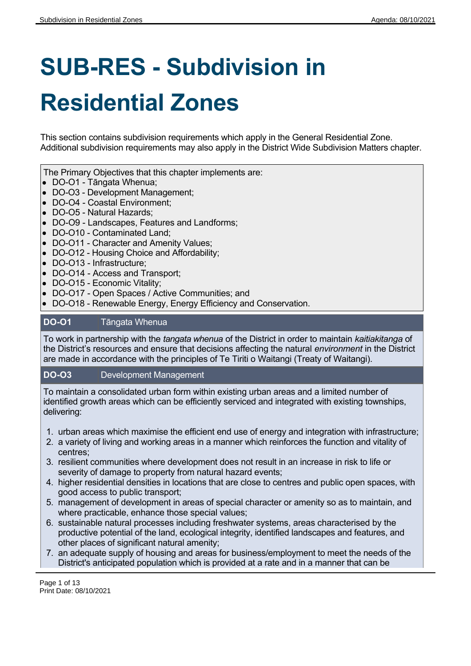# **SUB-RES - Subdivision in Residential Zones**

This section contains subdivision requirements which apply in the General Residential Zone. Additional subdivision requirements may also apply in the District Wide Subdivision Matters chapter.

The Primary Objectives that this chapter implements are:

- DO-O1 Tāngata Whenua;
- DO-O3 Development Management;
- DO-O4 Coastal Environment;
- DO-O5 Natural Hazards:
- DO-O9 Landscapes, Features and Landforms;
- DO-O10 Contaminated Land;
- DO-O11 Character and Amenity Values;
- DO-O12 Housing Choice and Affordability;
- DO-O13 Infrastructure;
- DO-O14 Access and Transport;
- DO-O15 Economic Vitality;
- DO-O17 Open Spaces / Active Communities; and
- DO-O18 Renewable Energy, Energy Efficiency and Conservation.

#### **DO-O1** Tāngata Whenua

To work in partnership with the *tangata whenua* of the District in order to maintain *kaitiakitanga* of the District's resources and ensure that decisions affecting the natural *environment* in the District are made in accordance with the principles of Te Tiriti o Waitangi (Treaty of Waitangi).

#### **DO-O3** Development Management

To maintain a consolidated urban form within existing urban areas and a limited number of identified growth areas which can be efficiently serviced and integrated with existing townships, delivering:

- 1. urban areas which maximise the efficient end use of energy and integration with infrastructure;
- 2. a variety of living and working areas in a manner which reinforces the function and vitality of centres;
- 3. resilient communities where development does not result in an increase in risk to life or severity of damage to property from natural hazard events;
- 4. higher residential densities in locations that are close to centres and public open spaces, with good access to public transport;
- 5. management of development in areas of special character or amenity so as to maintain, and where practicable, enhance those special values;
- 6. sustainable natural processes including freshwater systems, areas characterised by the productive potential of the land, ecological integrity, identified landscapes and features, and other places of significant natural amenity;
- 7. an adequate supply of housing and areas for business/employment to meet the needs of the District's anticipated population which is provided at a rate and in a manner that can be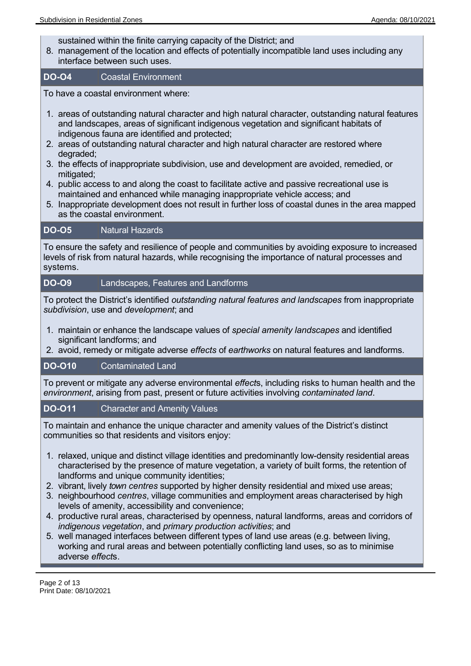sustained within the finite carrying capacity of the District; and

8. management of the location and effects of potentially incompatible land uses including any interface between such uses.

# **DO-O4** Coastal Environment

To have a coastal environment where:

- 1. areas of outstanding natural character and high natural character, outstanding natural features and landscapes, areas of significant indigenous vegetation and significant habitats of indigenous fauna are identified and protected;
- 2. areas of outstanding natural character and high natural character are restored where degraded;
- 3. the effects of inappropriate subdivision, use and development are avoided, remedied, or mitigated;
- 4. public access to and along the coast to facilitate active and passive recreational use is maintained and enhanced while managing inappropriate vehicle access; and
- 5. Inappropriate development does not result in further loss of coastal dunes in the area mapped as the coastal environment.

# **DO-O5** Natural Hazards

To ensure the safety and resilience of people and communities by avoiding exposure to increased levels of risk from natural hazards, while recognising the importance of natural processes and systems.

#### **DO-O9** Landscapes, Features and Landforms

To protect the District's identified *outstanding natural features and landscapes* from inappropriate *subdivision*, use and *development*; and

- 1. maintain or enhance the landscape values of *special amenity landscapes* and identified significant landforms; and
- 2. avoid, remedy or mitigate adverse *effects* of *earthworks* on natural features and landforms.

# **DO-O10** Contaminated Land

To prevent or mitigate any adverse environmental *effect*s, including risks to human health and the *environment*, arising from past, present or future activities involving *contaminated land*.

# **DO-O11** Character and Amenity Values

To maintain and enhance the unique character and amenity values of the District's distinct communities so that residents and visitors enjoy:

- 1. relaxed, unique and distinct village identities and predominantly low-density residential areas characterised by the presence of mature vegetation, a variety of built forms, the retention of landforms and unique community identities;
- 2. vibrant, lively *town centres* supported by higher density residential and mixed use areas;
- 3. neighbourhood *centres*, village communities and employment areas characterised by high levels of amenity, accessibility and convenience;
- 4. productive rural areas, characterised by openness, natural landforms, areas and corridors of *indigenous vegetation*, and *primary production activities*; and
- 5. well managed interfaces between different types of land use areas (e.g. between living, working and rural areas and between potentially conflicting land uses, so as to minimise adverse *effect*s.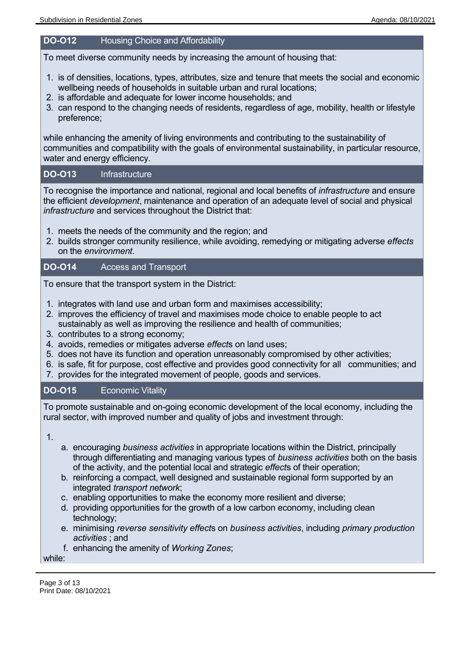#### **DO-O12** Housing Choice and Affordability

To meet diverse community needs by increasing the amount of housing that:

- 1. is of densities, locations, types, attributes, size and tenure that meets the social and economic wellbeing needs of households in suitable urban and rural locations;
- 2. is affordable and adequate for lower income households; and
- 3. can respond to the changing needs of residents, regardless of age, mobility, health or lifestyle preference;

while enhancing the amenity of living environments and contributing to the sustainability of communities and compatibility with the goals of environmental sustainability, in particular resource, water and energy efficiency.

# **DO-O13** Infrastructure

To recognise the importance and national, regional and local benefits of *infrastructure* and ensure the efficient *development*, maintenance and operation of an adequate level of social and physical *infrastructure* and services throughout the District that:

- 1. meets the needs of the community and the region; and
- 2. builds stronger community resilience, while avoiding, remedying or mitigating adverse *effects* on the *environment*.

# **DO-O14** Access and Transport

To ensure that the transport system in the District:

- 1. integrates with land use and urban form and maximises accessibility;
- 2. improves the efficiency of travel and maximises mode choice to enable people to act sustainably as well as improving the resilience and health of communities;
- 3. contributes to a strong economy;
- 4. avoids, remedies or mitigates adverse *effect*s on land uses;
- 5. does not have its function and operation unreasonably compromised by other activities;
- 6. is safe, fit for purpose, cost effective and provides good connectivity for all communities; and
- 7. provides for the integrated movement of people, goods and services.

#### **DO-O15** Economic Vitality

To promote sustainable and on-going economic development of the local economy, including the rural sector, with improved number and quality of jobs and investment through:

1.

- a. encouraging *business activities* in appropriate locations within the District, principally through differentiating and managing various types of *business activities* both on the basis of the activity, and the potential local and strategic *effect*s of their operation;
- b. reinforcing a compact, well designed and sustainable regional form supported by an integrated *transport network*;
- c. enabling opportunities to make the economy more resilient and diverse;
- d. providing opportunities for the growth of a low carbon economy, including clean technology;
- e. minimising *reverse sensitivity effect*s on *business activities*, including *primary production activities* ; and
- f. enhancing the amenity of *Working Zones*;

while: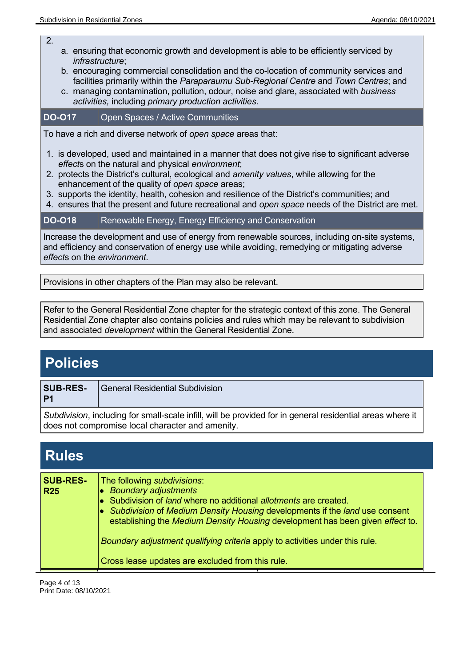2.

- a. ensuring that economic growth and development is able to be efficiently serviced by *infrastructure*;
- b. encouraging commercial consolidation and the co-location of community services and facilities primarily within the *Paraparaumu Sub-Regional Centre* and *Town Centres*; and
- c. managing contamination, pollution, odour, noise and glare, associated with *business activities,* including *primary production activities*.

# **DO-O17** Open Spaces / Active Communities

To have a rich and diverse network of *open space* areas that:

- 1. is developed, used and maintained in a manner that does not give rise to significant adverse *effect*s on the natural and physical *environment*;
- 2. protects the District's cultural, ecological and *amenity values*, while allowing for the enhancement of the quality of *open space* areas;
- 3. supports the identity, health, cohesion and resilience of the District's communities; and
- 4. ensures that the present and future recreational and *open space* needs of the District are met.

# **DO-O18** Renewable Energy, Energy Efficiency and Conservation

Increase the development and use of energy from renewable sources, including on-site systems, and efficiency and conservation of energy use while avoiding, remedying or mitigating adverse *effect*s on the *environment*.

Provisions in other chapters of the Plan may also be relevant.

Refer to the General Residential Zone chapter for the strategic context of this zone. The General Residential Zone chapter also contains policies and rules which may be relevant to subdivision and associated *development* within the General Residential Zone.

# **Policies**

| <b>SUB-RES-</b><br>P <sub>1</sub>                                                                                                                             | <b>General Residential Subdivision</b> |
|---------------------------------------------------------------------------------------------------------------------------------------------------------------|----------------------------------------|
| Subdivision, including for small-scale infill, will be provided for in general residential areas where it<br>does not compromise local character and amenity. |                                        |

| <b>Rules</b>                  |                                                                                                                                                                                                                                                                                                                                                                                                                                       |
|-------------------------------|---------------------------------------------------------------------------------------------------------------------------------------------------------------------------------------------------------------------------------------------------------------------------------------------------------------------------------------------------------------------------------------------------------------------------------------|
| <b>SUB-RES-</b><br><b>R25</b> | The following subdivisions:<br>• Boundary adjustments<br>Subdivision of land where no additional allotments are created.<br>$\bullet$ Subdivision of Medium Density Housing developments if the land use consent<br>establishing the Medium Density Housing development has been given effect to.<br>Boundary adjustment qualifying criteria apply to activities under this rule.<br>Cross lease updates are excluded from this rule. |

Page 4 of 13 Print Date: 08/10/2021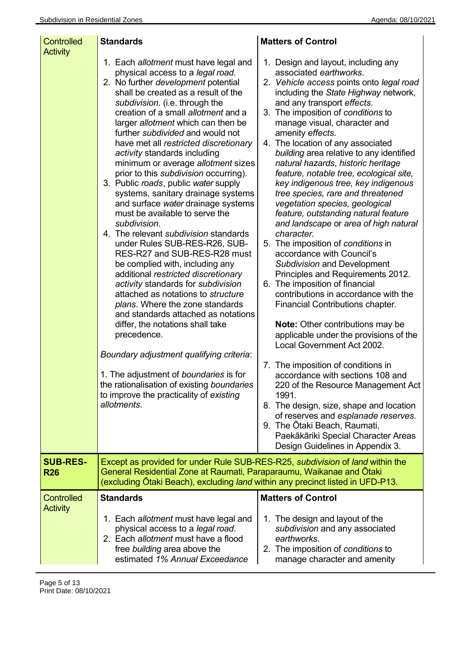| <b>Controlled</b><br><b>Activity</b> | <b>Standards</b>                                                                                                                                                                                                                                                                                                                                                                                                                                                                                                                                                                                                                                                                                                                                                                                                                                                                                                                                                                                                                                                                                                                                                                                                                           | <b>Matters of Control</b>                                                                                                                                                                                                                                                                                                                                                                                                                                                                                                                                                                                                                                                                                                                                                                                                                                                                                                                                                                                                                                                                                                                                                                                                                                                                                                                              |
|--------------------------------------|--------------------------------------------------------------------------------------------------------------------------------------------------------------------------------------------------------------------------------------------------------------------------------------------------------------------------------------------------------------------------------------------------------------------------------------------------------------------------------------------------------------------------------------------------------------------------------------------------------------------------------------------------------------------------------------------------------------------------------------------------------------------------------------------------------------------------------------------------------------------------------------------------------------------------------------------------------------------------------------------------------------------------------------------------------------------------------------------------------------------------------------------------------------------------------------------------------------------------------------------|--------------------------------------------------------------------------------------------------------------------------------------------------------------------------------------------------------------------------------------------------------------------------------------------------------------------------------------------------------------------------------------------------------------------------------------------------------------------------------------------------------------------------------------------------------------------------------------------------------------------------------------------------------------------------------------------------------------------------------------------------------------------------------------------------------------------------------------------------------------------------------------------------------------------------------------------------------------------------------------------------------------------------------------------------------------------------------------------------------------------------------------------------------------------------------------------------------------------------------------------------------------------------------------------------------------------------------------------------------|
|                                      | 1. Each allotment must have legal and<br>physical access to a legal road.<br>2. No further development potential<br>shall be created as a result of the<br>subdivision. (i.e. through the<br>creation of a small <i>allotment</i> and a<br>larger allotment which can then be<br>further subdivided and would not<br>have met all restricted discretionary<br>activity standards including<br>minimum or average allotment sizes<br>prior to this subdivision occurring).<br>3. Public roads, public water supply<br>systems, sanitary drainage systems<br>and surface water drainage systems<br>must be available to serve the<br>subdivision.<br>4. The relevant subdivision standards<br>under Rules SUB-RES-R26, SUB-<br>RES-R27 and SUB-RES-R28 must<br>be complied with, including any<br>additional restricted discretionary<br>activity standards for subdivision<br>attached as notations to structure<br>plans. Where the zone standards<br>and standards attached as notations<br>differ, the notations shall take<br>precedence.<br>Boundary adjustment qualifying criteria:<br>1. The adjustment of boundaries is for<br>the rationalisation of existing boundaries<br>to improve the practicality of existing<br>allotments. | 1. Design and layout, including any<br>associated earthworks.<br>2. Vehicle access points onto legal road<br>including the State Highway network,<br>and any transport effects.<br>3. The imposition of conditions to<br>manage visual, character and<br>amenity effects.<br>4. The location of any associated<br>building area relative to any identified<br>natural hazards, historic heritage<br>feature, notable tree, ecological site,<br>key indigenous tree, key indigenous<br>tree species, rare and threatened<br>vegetation species, geological<br>feature, outstanding natural feature<br>and landscape or area of high natural<br>character.<br>5. The imposition of conditions in<br>accordance with Council's<br>Subdivision and Development<br>Principles and Requirements 2012.<br>6. The imposition of financial<br>contributions in accordance with the<br>Financial Contributions chapter.<br><b>Note:</b> Other contributions may be<br>applicable under the provisions of the<br>Local Government Act 2002.<br>7. The imposition of conditions in<br>accordance with sections 108 and<br>220 of the Resource Management Act<br>1991.<br>8. The design, size, shape and location<br>of reserves and esplanade reserves.<br>9. The Otaki Beach, Raumati,<br>Paekākāriki Special Character Areas<br>Design Guidelines in Appendix 3. |
| <b>SUB-RES-</b><br><b>R26</b>        | Except as provided for under Rule SUB-RES-R25, <i>subdivision</i> of <i>land</i> within the<br>General Residential Zone at Raumati, Paraparaumu, Waikanae and Ōtaki<br>(excluding Ōtaki Beach), excluding <i>land</i> within any precinct listed in UFD-P13.                                                                                                                                                                                                                                                                                                                                                                                                                                                                                                                                                                                                                                                                                                                                                                                                                                                                                                                                                                               |                                                                                                                                                                                                                                                                                                                                                                                                                                                                                                                                                                                                                                                                                                                                                                                                                                                                                                                                                                                                                                                                                                                                                                                                                                                                                                                                                        |
| <b>Controlled</b>                    | <b>Standards</b>                                                                                                                                                                                                                                                                                                                                                                                                                                                                                                                                                                                                                                                                                                                                                                                                                                                                                                                                                                                                                                                                                                                                                                                                                           | <b>Matters of Control</b>                                                                                                                                                                                                                                                                                                                                                                                                                                                                                                                                                                                                                                                                                                                                                                                                                                                                                                                                                                                                                                                                                                                                                                                                                                                                                                                              |
| <b>Activity</b>                      | 1. Each allotment must have legal and<br>physical access to a legal road.<br>2. Each allotment must have a flood<br>free building area above the<br>estimated 1% Annual Exceedance                                                                                                                                                                                                                                                                                                                                                                                                                                                                                                                                                                                                                                                                                                                                                                                                                                                                                                                                                                                                                                                         | 1. The design and layout of the<br>subdivision and any associated<br>earthworks.<br>2. The imposition of conditions to<br>manage character and amenity                                                                                                                                                                                                                                                                                                                                                                                                                                                                                                                                                                                                                                                                                                                                                                                                                                                                                                                                                                                                                                                                                                                                                                                                 |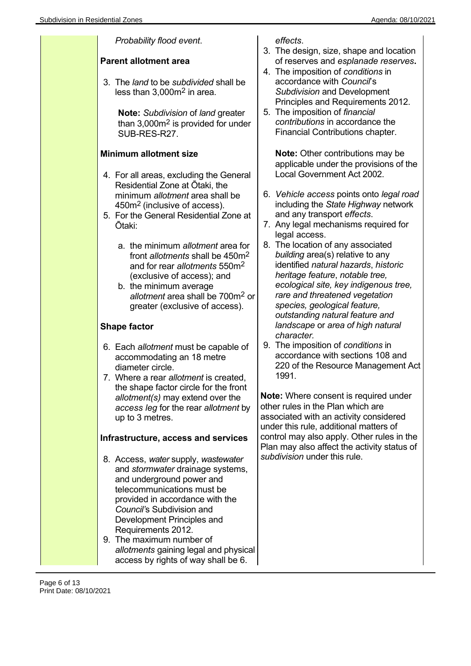| <b>Minimum allotment size</b><br><b>Note:</b> Other contributions may be<br>applicable under the provisions of the<br>Local Government Act 2002.<br>4. For all areas, excluding the General<br>Residential Zone at Otaki, the<br>6. Vehicle access points onto legal road<br>minimum allotment area shall be<br>including the State Highway network<br>450m <sup>2</sup> (inclusive of access).<br>and any transport effects.<br>5. For the General Residential Zone at<br>7. Any legal mechanisms required for<br>Ōtaki:<br>legal access.<br>8. The location of any associated<br>a. the minimum allotment area for<br>building area(s) relative to any<br>front allotments shall be 450m <sup>2</sup><br>identified natural hazards, historic<br>and for rear allotments 550m <sup>2</sup><br>heritage feature, notable tree,<br>(exclusive of access); and<br>ecological site, key indigenous tree,<br>b. the minimum average<br>rare and threatened vegetation<br>allotment area shall be 700m <sup>2</sup> or<br>species, geological feature,<br>greater (exclusive of access).<br>outstanding natural feature and<br>landscape or area of high natural<br><b>Shape factor</b><br>character.<br>9. The imposition of conditions in<br>6. Each allotment must be capable of<br>accordance with sections 108 and<br>accommodating an 18 metre<br>220 of the Resource Management Act<br>diameter circle.<br>1991.<br>7. Where a rear allotment is created,<br>the shape factor circle for the front<br><b>Note:</b> Where consent is required under<br>allotment(s) may extend over the<br>other rules in the Plan which are<br>access leg for the rear allotment by<br>associated with an activity considered<br>up to 3 metres.<br>under this rule, additional matters of<br>control may also apply. Other rules in the<br>Infrastructure, access and services<br>Plan may also affect the activity status of<br>subdivision under this rule.<br>8. Access, water supply, wastewater<br>and stormwater drainage systems,<br>and underground power and<br>telecommunications must be | Probability flood event.<br><b>Parent allotment area</b><br>3. The land to be subdivided shall be<br>less than $3,000m^2$ in area.<br><b>Note:</b> Subdivision of land greater<br>than $3,000m^2$ is provided for under<br>SUB-RES-R27. | effects.<br>3. The design, size, shape and location<br>of reserves and esplanade reserves.<br>4. The imposition of conditions in<br>accordance with Council's<br>Subdivision and Development<br>Principles and Requirements 2012.<br>5. The imposition of financial<br>contributions in accordance the<br>Financial Contributions chapter. |
|-----------------------------------------------------------------------------------------------------------------------------------------------------------------------------------------------------------------------------------------------------------------------------------------------------------------------------------------------------------------------------------------------------------------------------------------------------------------------------------------------------------------------------------------------------------------------------------------------------------------------------------------------------------------------------------------------------------------------------------------------------------------------------------------------------------------------------------------------------------------------------------------------------------------------------------------------------------------------------------------------------------------------------------------------------------------------------------------------------------------------------------------------------------------------------------------------------------------------------------------------------------------------------------------------------------------------------------------------------------------------------------------------------------------------------------------------------------------------------------------------------------------------------------------------------------------------------------------------------------------------------------------------------------------------------------------------------------------------------------------------------------------------------------------------------------------------------------------------------------------------------------------------------------------------------------------------------------------------------------------------------------------------------------------------------------------------------------------|-----------------------------------------------------------------------------------------------------------------------------------------------------------------------------------------------------------------------------------------|--------------------------------------------------------------------------------------------------------------------------------------------------------------------------------------------------------------------------------------------------------------------------------------------------------------------------------------------|
| Council's Subdivision and<br>Development Principles and<br>Requirements 2012.<br>9. The maximum number of<br>allotments gaining legal and physical<br>access by rights of way shall be 6.                                                                                                                                                                                                                                                                                                                                                                                                                                                                                                                                                                                                                                                                                                                                                                                                                                                                                                                                                                                                                                                                                                                                                                                                                                                                                                                                                                                                                                                                                                                                                                                                                                                                                                                                                                                                                                                                                               | provided in accordance with the                                                                                                                                                                                                         |                                                                                                                                                                                                                                                                                                                                            |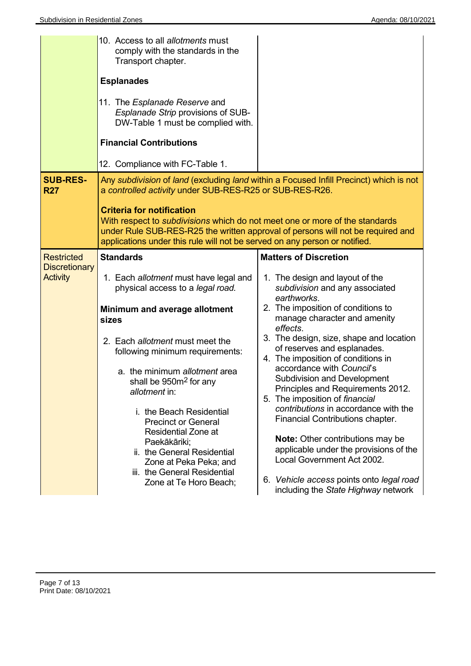|                                                              | 10. Access to all <i>allotments</i> must<br>comply with the standards in the<br>Transport chapter.<br><b>Esplanades</b><br>11. The <i>Esplanade Reserve</i> and<br>Esplanade Strip provisions of SUB-<br>DW-Table 1 must be complied with.<br><b>Financial Contributions</b><br>12. Compliance with FC-Table 1.                                                                                                                                                                                                        |                                                                                                                                                                                                                                                                                                                                                                                                                                                                                                                                                                                                                                                                                                                                         |
|--------------------------------------------------------------|------------------------------------------------------------------------------------------------------------------------------------------------------------------------------------------------------------------------------------------------------------------------------------------------------------------------------------------------------------------------------------------------------------------------------------------------------------------------------------------------------------------------|-----------------------------------------------------------------------------------------------------------------------------------------------------------------------------------------------------------------------------------------------------------------------------------------------------------------------------------------------------------------------------------------------------------------------------------------------------------------------------------------------------------------------------------------------------------------------------------------------------------------------------------------------------------------------------------------------------------------------------------------|
| <b>SUB-RES-</b><br><b>R27</b>                                | a controlled activity under SUB-RES-R25 or SUB-RES-R26.<br><b>Criteria for notification</b><br>With respect to <i>subdivisions</i> which do not meet one or more of the standards<br>applications under this rule will not be served on any person or notified.                                                                                                                                                                                                                                                        | Any subdivision of land (excluding land within a Focused Infill Precinct) which is not<br>under Rule SUB-RES-R25 the written approval of persons will not be required and                                                                                                                                                                                                                                                                                                                                                                                                                                                                                                                                                               |
| <b>Restricted</b><br><b>Discretionary</b><br><b>Activity</b> | <b>Standards</b><br>1. Each allotment must have legal and<br>physical access to a legal road.<br>Minimum and average allotment<br>sizes<br>2. Each allotment must meet the<br>following minimum requirements:<br>a. the minimum allotment area<br>shall be $950m2$ for any<br>allotment in:<br>i. the Beach Residential<br><b>Precinct or General</b><br><b>Residential Zone at</b><br>Paekākāriki;<br>ii. the General Residential<br>Zone at Peka Peka; and<br>iii. the General Residential<br>Zone at Te Horo Beach; | <b>Matters of Discretion</b><br>1. The design and layout of the<br>subdivision and any associated<br>earthworks.<br>2. The imposition of conditions to<br>manage character and amenity<br>effects.<br>3. The design, size, shape and location<br>of reserves and esplanades.<br>4. The imposition of conditions in<br>accordance with Council's<br>Subdivision and Development<br>Principles and Requirements 2012.<br>5. The imposition of financial<br>contributions in accordance with the<br>Financial Contributions chapter.<br><b>Note:</b> Other contributions may be<br>applicable under the provisions of the<br>Local Government Act 2002.<br>6. Vehicle access points onto legal road<br>including the State Highway network |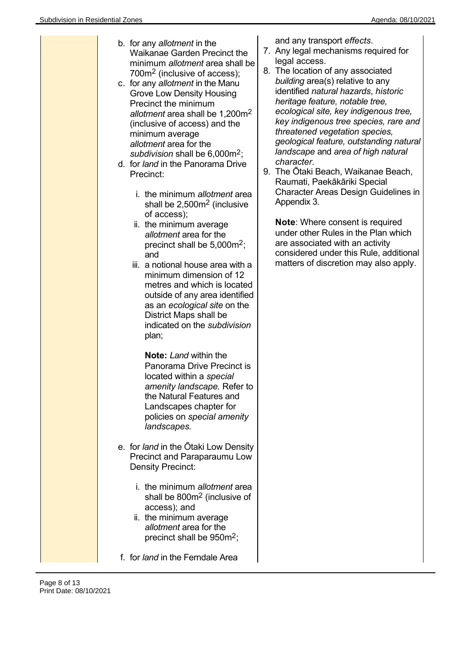| b. for any allotment in the<br><b>Waikanae Garden Precinct the</b><br>minimum allotment area shall be<br>700m <sup>2</sup> (inclusive of access);<br>c. for any allotment in the Manu<br>Grove Low Density Housing<br>Precinct the minimum<br>allotment area shall be 1,200m <sup>2</sup><br>(inclusive of access) and the<br>minimum average<br>allotment area for the<br>subdivision shall be $6,000m^2$ ;<br>d. for land in the Panorama Drive<br>Precinct:<br>i. the minimum allotment area<br>shall be $2,500m^2$ (inclusive<br>of access);<br>ii. the minimum average<br>allotment area for the<br>precinct shall be $5,000m^2$ ;<br>and<br>iii. a notional house area with a<br>minimum dimension of 12<br>metres and which is located<br>outside of any area identified<br>as an ecological site on the<br>District Maps shall be<br>indicated on the subdivision<br>plan; | and any transport effects.<br>7. Any legal mechanisms required for<br>legal access.<br>8. The location of any associated<br>building area(s) relative to any<br>identified natural hazards, historic<br>heritage feature, notable tree,<br>ecological site, key indigenous tree,<br>key indigenous tree species, rare and<br>threatened vegetation species,<br>geological feature, outstanding natural<br>landscape and area of high natural<br>character.<br>9. The Otaki Beach, Waikanae Beach,<br>Raumati, Paekākāriki Special<br><b>Character Areas Design Guidelines in</b><br>Appendix 3.<br><b>Note:</b> Where consent is required<br>under other Rules in the Plan which<br>are associated with an activity<br>considered under this Rule, additional<br>matters of discretion may also apply. |
|------------------------------------------------------------------------------------------------------------------------------------------------------------------------------------------------------------------------------------------------------------------------------------------------------------------------------------------------------------------------------------------------------------------------------------------------------------------------------------------------------------------------------------------------------------------------------------------------------------------------------------------------------------------------------------------------------------------------------------------------------------------------------------------------------------------------------------------------------------------------------------|--------------------------------------------------------------------------------------------------------------------------------------------------------------------------------------------------------------------------------------------------------------------------------------------------------------------------------------------------------------------------------------------------------------------------------------------------------------------------------------------------------------------------------------------------------------------------------------------------------------------------------------------------------------------------------------------------------------------------------------------------------------------------------------------------------|
| <b>Note: Land within the</b><br>Panorama Drive Precinct is<br>located within a special<br>amenity landscape. Refer to<br>the Natural Features and<br>Landscapes chapter for<br>policies on special amenity<br>landscapes.                                                                                                                                                                                                                                                                                                                                                                                                                                                                                                                                                                                                                                                          |                                                                                                                                                                                                                                                                                                                                                                                                                                                                                                                                                                                                                                                                                                                                                                                                        |
| e. for <i>land</i> in the Otaki Low Density<br>Precinct and Paraparaumu Low<br>Density Precinct:<br>i. the minimum allotment area<br>shall be 800m <sup>2</sup> (inclusive of<br>access); and<br>ii. the minimum average<br>allotment area for the<br>precinct shall be $950m^2$ ;                                                                                                                                                                                                                                                                                                                                                                                                                                                                                                                                                                                                 |                                                                                                                                                                                                                                                                                                                                                                                                                                                                                                                                                                                                                                                                                                                                                                                                        |
| f. for land in the Ferndale Area                                                                                                                                                                                                                                                                                                                                                                                                                                                                                                                                                                                                                                                                                                                                                                                                                                                   |                                                                                                                                                                                                                                                                                                                                                                                                                                                                                                                                                                                                                                                                                                                                                                                                        |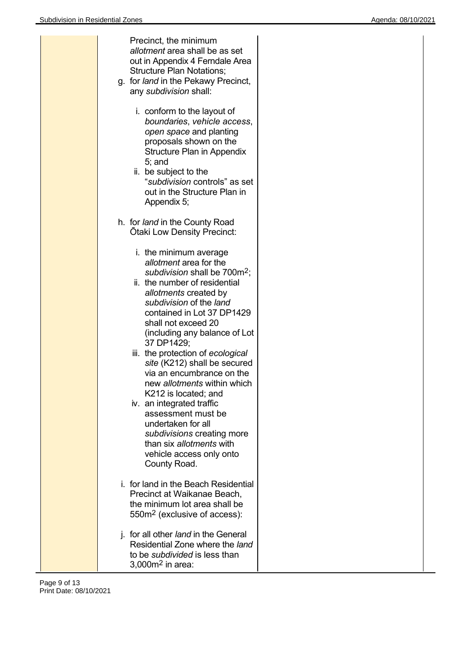| Precinct, the minimum<br>allotment area shall be as set<br>out in Appendix 4 Ferndale Area<br><b>Structure Plan Notations;</b><br>g. for land in the Pekawy Precinct,<br>any subdivision shall:                                                                                                                                                                                                                                                                                                                                                                                                                             |
|-----------------------------------------------------------------------------------------------------------------------------------------------------------------------------------------------------------------------------------------------------------------------------------------------------------------------------------------------------------------------------------------------------------------------------------------------------------------------------------------------------------------------------------------------------------------------------------------------------------------------------|
| i. conform to the layout of<br>boundaries, vehicle access,<br>open space and planting<br>proposals shown on the<br>Structure Plan in Appendix<br>$5;$ and<br>ii. be subject to the<br>"subdivision controls" as set<br>out in the Structure Plan in<br>Appendix 5;                                                                                                                                                                                                                                                                                                                                                          |
| h. for land in the County Road<br><b>Otaki Low Density Precinct:</b>                                                                                                                                                                                                                                                                                                                                                                                                                                                                                                                                                        |
| i. the minimum average<br>allotment area for the<br>subdivision shall be $700m^2$ ;<br>ii. the number of residential<br>allotments created by<br>subdivision of the land<br>contained in Lot 37 DP1429<br>shall not exceed 20<br>(including any balance of Lot<br>37 DP1429;<br>iii. the protection of ecological<br>site (K212) shall be secured<br>via an encumbrance on the<br>new <i>allotments</i> within which<br>K212 is located; and<br>iv. an integrated traffic<br>assessment must be<br>undertaken for all<br>subdivisions creating more<br>than six allotments with<br>vehicle access only onto<br>County Road. |
| i. for land in the Beach Residential<br>Precinct at Waikanae Beach,<br>the minimum lot area shall be<br>550m <sup>2</sup> (exclusive of access):                                                                                                                                                                                                                                                                                                                                                                                                                                                                            |
| j. for all other land in the General<br>Residential Zone where the <i>land</i><br>to be <i>subdivided</i> is less than<br>$3,000m2$ in area:                                                                                                                                                                                                                                                                                                                                                                                                                                                                                |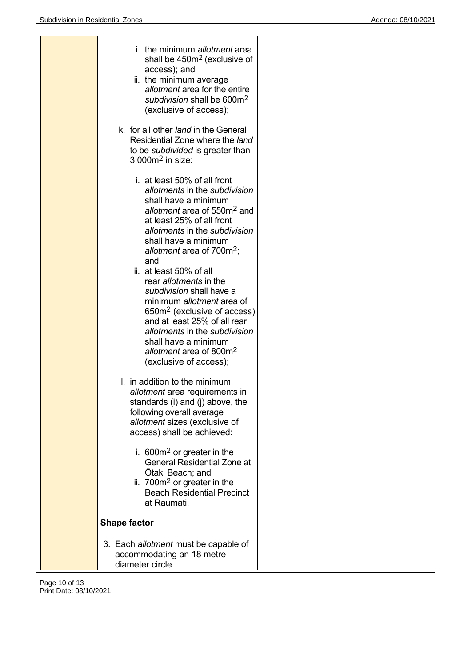| i. the minimum allotment area<br>shall be $450m2$ (exclusive of                                                                                                                                                                                                                                                                                                                                                                                                                                                                                                                         |  |
|-----------------------------------------------------------------------------------------------------------------------------------------------------------------------------------------------------------------------------------------------------------------------------------------------------------------------------------------------------------------------------------------------------------------------------------------------------------------------------------------------------------------------------------------------------------------------------------------|--|
| access); and<br>ii. the minimum average<br>allotment area for the entire<br>subdivision shall be 600m <sup>2</sup><br>(exclusive of access);                                                                                                                                                                                                                                                                                                                                                                                                                                            |  |
| k. for all other <i>land</i> in the General<br>Residential Zone where the <i>land</i><br>to be <i>subdivided</i> is greater than<br>$3,000m2$ in size:                                                                                                                                                                                                                                                                                                                                                                                                                                  |  |
| i. at least 50% of all front<br>allotments in the subdivision<br>shall have a minimum<br>allotment area of 550m <sup>2</sup> and<br>at least 25% of all front<br>allotments in the subdivision<br>shall have a minimum<br>allotment area of $700m^2$ ;<br>and<br>ii. at least 50% of all<br>rear <i>allotments</i> in the<br>subdivision shall have a<br>minimum allotment area of<br>650m <sup>2</sup> (exclusive of access)<br>and at least 25% of all rear<br>allotments in the subdivision<br>shall have a minimum<br>allotment area of 800m <sup>2</sup><br>(exclusive of access); |  |
| I. in addition to the minimum<br>allotment area requirements in<br>standards (i) and (j) above, the<br>following overall average<br>allotment sizes (exclusive of<br>access) shall be achieved:                                                                                                                                                                                                                                                                                                                                                                                         |  |
| i. $600m2$ or greater in the<br><b>General Residential Zone at</b><br>Ōtaki Beach; and<br>ii. 700 $m2$ or greater in the<br><b>Beach Residential Precinct</b><br>at Raumati.                                                                                                                                                                                                                                                                                                                                                                                                            |  |
| <b>Shape factor</b>                                                                                                                                                                                                                                                                                                                                                                                                                                                                                                                                                                     |  |
| 3. Each allotment must be capable of<br>accommodating an 18 metre<br>diameter circle.                                                                                                                                                                                                                                                                                                                                                                                                                                                                                                   |  |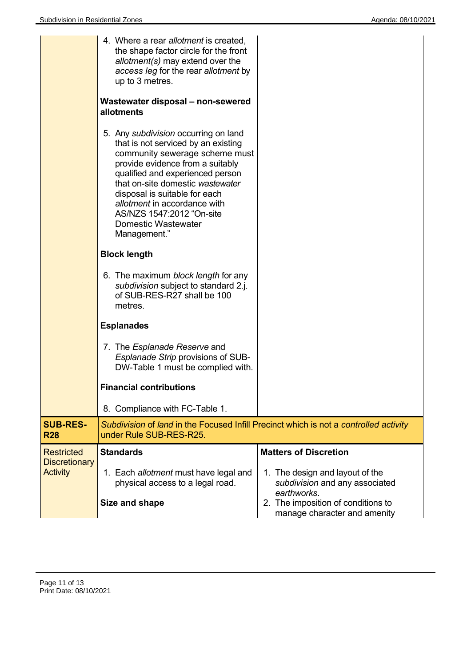|                                         | 4. Where a rear allotment is created,<br>the shape factor circle for the front<br>allotment(s) may extend over the<br>access leg for the rear allotment by<br>up to 3 metres.<br>Wastewater disposal - non-sewered<br>allotments                                                                                                                                      |                                                                                  |
|-----------------------------------------|-----------------------------------------------------------------------------------------------------------------------------------------------------------------------------------------------------------------------------------------------------------------------------------------------------------------------------------------------------------------------|----------------------------------------------------------------------------------|
|                                         | 5. Any subdivision occurring on land<br>that is not serviced by an existing<br>community sewerage scheme must<br>provide evidence from a suitably<br>qualified and experienced person<br>that on-site domestic wastewater<br>disposal is suitable for each<br>allotment in accordance with<br>AS/NZS 1547:2012 "On-site<br><b>Domestic Wastewater</b><br>Management." |                                                                                  |
|                                         | <b>Block length</b>                                                                                                                                                                                                                                                                                                                                                   |                                                                                  |
|                                         | 6. The maximum block length for any<br>subdivision subject to standard 2.j.<br>of SUB-RES-R27 shall be 100<br>metres.                                                                                                                                                                                                                                                 |                                                                                  |
|                                         | <b>Esplanades</b>                                                                                                                                                                                                                                                                                                                                                     |                                                                                  |
|                                         | 7. The <i>Esplanade Reserve</i> and<br>Esplanade Strip provisions of SUB-<br>DW-Table 1 must be complied with.                                                                                                                                                                                                                                                        |                                                                                  |
|                                         | <b>Financial contributions</b>                                                                                                                                                                                                                                                                                                                                        |                                                                                  |
|                                         | 8. Compliance with FC-Table 1.                                                                                                                                                                                                                                                                                                                                        |                                                                                  |
| <b>SUB-RES-</b><br><b>R28</b>           | Subdivision of land in the Focused Infill Precinct which is not a controlled activity<br>under Rule SUB-RES-R25.                                                                                                                                                                                                                                                      |                                                                                  |
| <b>Restricted</b>                       | <b>Standards</b>                                                                                                                                                                                                                                                                                                                                                      | <b>Matters of Discretion</b>                                                     |
| <b>Discretionary</b><br><b>Activity</b> | 1. Each allotment must have legal and<br>physical access to a legal road.                                                                                                                                                                                                                                                                                             | 1. The design and layout of the<br>subdivision and any associated<br>earthworks. |
|                                         | Size and shape                                                                                                                                                                                                                                                                                                                                                        | 2. The imposition of conditions to<br>manage character and amenity               |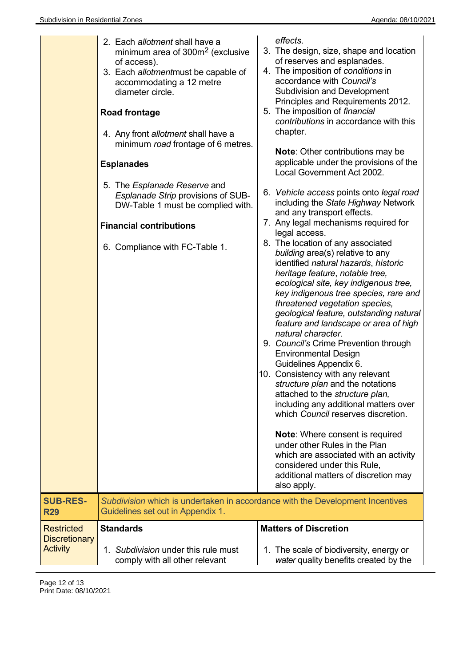|                                           | 2. Each allotment shall have a<br>minimum area of 300m <sup>2</sup> (exclusive<br>of access).<br>3. Each allotmentmust be capable of<br>accommodating a 12 metre<br>diameter circle.<br><b>Road frontage</b><br>4. Any front allotment shall have a<br>minimum road frontage of 6 metres.<br><b>Esplanades</b><br>5. The <i>Esplanade Reserve</i> and<br>Esplanade Strip provisions of SUB-<br>DW-Table 1 must be complied with.<br><b>Financial contributions</b><br>6. Compliance with FC-Table 1. | effects.<br>3. The design, size, shape and location<br>of reserves and esplanades.<br>4. The imposition of conditions in<br>accordance with Council's<br><b>Subdivision and Development</b><br>Principles and Requirements 2012.<br>5. The imposition of financial<br>contributions in accordance with this<br>chapter.<br><b>Note: Other contributions may be</b><br>applicable under the provisions of the<br>Local Government Act 2002.<br>6. Vehicle access points onto legal road<br>including the State Highway Network<br>and any transport effects.<br>7. Any legal mechanisms required for<br>legal access.<br>8. The location of any associated<br>building area(s) relative to any<br>identified natural hazards, historic<br>heritage feature, notable tree,<br>ecological site, key indigenous tree,<br>key indigenous tree species, rare and<br>threatened vegetation species,<br>geological feature, outstanding natural<br>feature and landscape or area of high<br>natural character.<br>9. Council's Crime Prevention through<br><b>Environmental Design</b><br>Guidelines Appendix 6.<br>10. Consistency with any relevant<br><i>structure plan</i> and the notations<br>attached to the structure plan,<br>including any additional matters over<br>which Council reserves discretion.<br><b>Note:</b> Where consent is required<br>under other Rules in the Plan<br>which are associated with an activity<br>considered under this Rule,<br>additional matters of discretion may<br>also apply. |
|-------------------------------------------|------------------------------------------------------------------------------------------------------------------------------------------------------------------------------------------------------------------------------------------------------------------------------------------------------------------------------------------------------------------------------------------------------------------------------------------------------------------------------------------------------|----------------------------------------------------------------------------------------------------------------------------------------------------------------------------------------------------------------------------------------------------------------------------------------------------------------------------------------------------------------------------------------------------------------------------------------------------------------------------------------------------------------------------------------------------------------------------------------------------------------------------------------------------------------------------------------------------------------------------------------------------------------------------------------------------------------------------------------------------------------------------------------------------------------------------------------------------------------------------------------------------------------------------------------------------------------------------------------------------------------------------------------------------------------------------------------------------------------------------------------------------------------------------------------------------------------------------------------------------------------------------------------------------------------------------------------------------------------------------------------------------------------------|
| <b>SUB-RES-</b><br><b>R29</b>             | Subdivision which is undertaken in accordance with the Development Incentives<br>Guidelines set out in Appendix 1.                                                                                                                                                                                                                                                                                                                                                                                   |                                                                                                                                                                                                                                                                                                                                                                                                                                                                                                                                                                                                                                                                                                                                                                                                                                                                                                                                                                                                                                                                                                                                                                                                                                                                                                                                                                                                                                                                                                                      |
| <b>Restricted</b><br><b>Discretionary</b> | <b>Standards</b>                                                                                                                                                                                                                                                                                                                                                                                                                                                                                     | <b>Matters of Discretion</b>                                                                                                                                                                                                                                                                                                                                                                                                                                                                                                                                                                                                                                                                                                                                                                                                                                                                                                                                                                                                                                                                                                                                                                                                                                                                                                                                                                                                                                                                                         |
| <b>Activity</b>                           | 1. Subdivision under this rule must<br>comply with all other relevant                                                                                                                                                                                                                                                                                                                                                                                                                                | 1. The scale of biodiversity, energy or<br>water quality benefits created by the                                                                                                                                                                                                                                                                                                                                                                                                                                                                                                                                                                                                                                                                                                                                                                                                                                                                                                                                                                                                                                                                                                                                                                                                                                                                                                                                                                                                                                     |